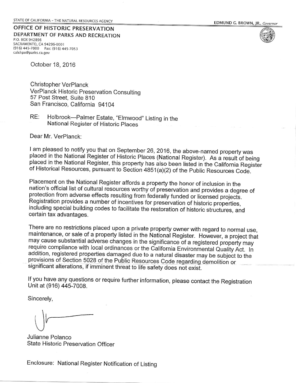OFFICE OF HISTORIC PRESERVATION DEPARTMENT OF PARKS AND RECREATION P.O. BOX 942896 SACRAMENTO, CA 94296-0001 (916) 445-7000 Fax: (916) 445-7053 calshpo@parks.ca.gov

October 18, 2016

Christopher VerPlanck VerPlanck Historic Preservation Consulting 57 Post Street, Suite 810 San Francisco, California 94104

Holbrook-Palmer Estate, "Elmwood" Listing in the RE: National Register of Historic Places

Dear Mr. VerPlanck:

I am pleased to notify you that on September 26, 2016, the above-named property was placed in the National Register of Historic Places (National Register). As a result of being placed in the National Register, this property has also been listed in the California Register of Historical Resources, pursuant to Section 4851(a)(2) of the Public Resources Code.

Placement on the National Register affords a property the honor of inclusion in the nation's official list of cultural resources worthy of preservation and provides a degree of protection from adverse effects resulting from federally funded or licensed projects. Registration provides a number of incentives for preservation of historic properties, including special building codes to facilitate the restoration of historic structures, and certain tax advantages.

There are no restrictions placed upon a private property owner with regard to normal use, maintenance, or sale of a property listed in the National Register. However, a project that may cause substantial adverse changes in the significance of a registered property may require compliance with local ordinances or the California Environmental Quality Act. In addition, registered properties damaged due to a natural disaster may be subject to the provisions of Section 5028 of the Public Resources Code regarding demolition or significant alterations, if imminent threat to life safety does not exist.

If you have any questions or require further information, please contact the Registration Unit at (916) 445-7008.

Sincerely,

Julianne Polanco State Historic Preservation Officer

Enclosure: National Register Notification of Listing